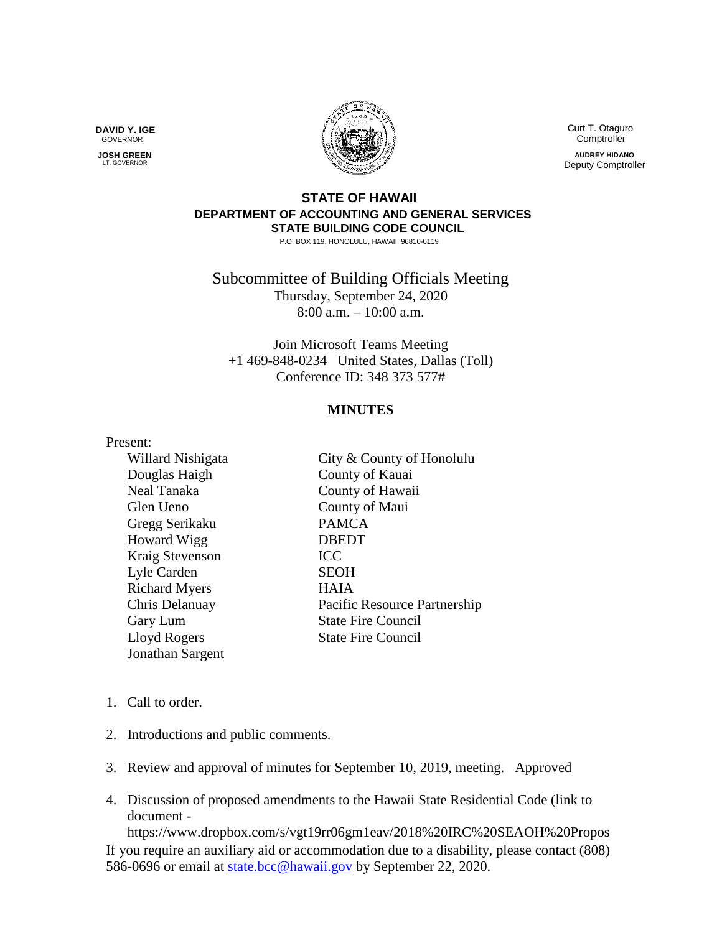**DAVID Y. IGE** GOVERNOR

 **JOSH GREEN LT. GOVERNOR** 



 Curt T. Otaguro **Comptroller** 

**AUDREY HIDANO** Deputy Comptroller

## **STATE OF HAWAII DEPARTMENT OF ACCOUNTING AND GENERAL SERVICES STATE BUILDING CODE COUNCIL**

P.O. BOX 119, HONOLULU, HAWAII 96810-0119

Subcommittee of Building Officials Meeting Thursday, September 24, 2020 8:00 a.m. – 10:00 a.m.

Join Microsoft Teams Meeting +1 469-848-0234 United States, Dallas (Toll) Conference ID: 348 373 577#

## **MINUTES**

## Present:

Glen Ueno County of Maui Gregg Serikaku PAMCA Howard Wigg DBEDT Kraig Stevenson ICC Lyle Carden SEOH Richard Myers HAIA Jonathan Sargent

Willard Nishigata City & County of Honolulu Douglas Haigh County of Kauai Neal Tanaka County of Hawaii Chris Delanuay Pacific Resource Partnership Gary Lum State Fire Council Lloyd Rogers State Fire Council

- 1. Call to order.
- 2. Introductions and public comments.
- 3. Review and approval of minutes for September 10, 2019, meeting. Approved
- 4. Discussion of proposed amendments to the Hawaii State Residential Code (link to document -

If you require an auxiliary aid or accommodation due to a disability, please contact (808) 586-0696 or email at [state.bcc@hawaii.gov](mailto:state.bcc@hawaii.gov) by September 22, 2020. https://www.dropbox.com/s/vgt19rr06gm1eav/2018%20IRC%20SEAOH%20Propos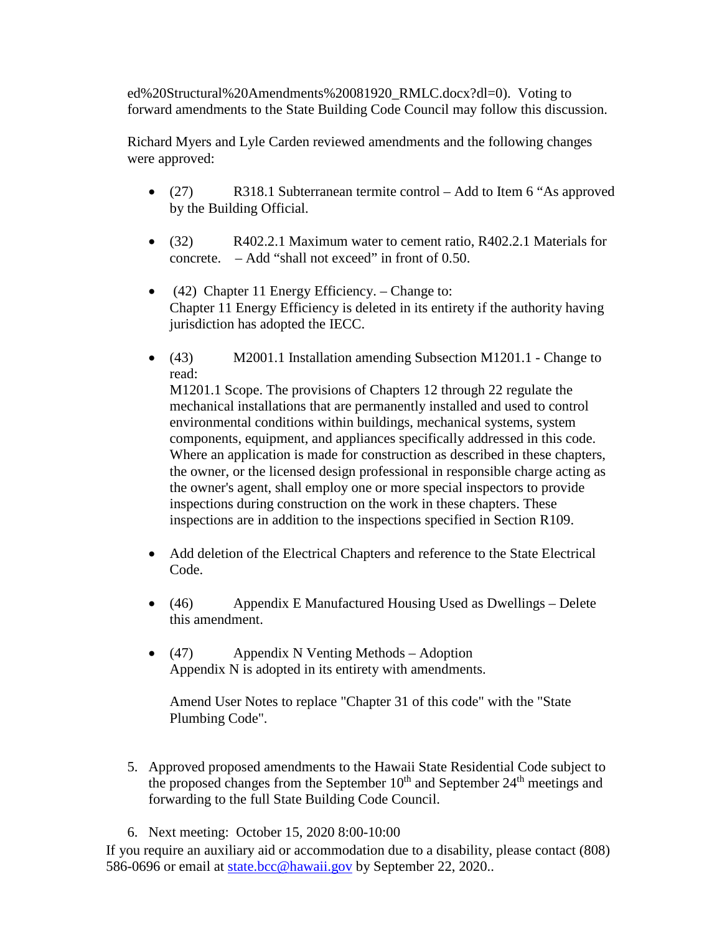ed%20Structural%20Amendments%20081920\_RMLC.docx?dl=0). Voting to forward amendments to the State Building Code Council may follow this discussion.

Richard Myers and Lyle Carden reviewed amendments and the following changes were approved:

- (27) R318.1 Subterranean termite control Add to Item 6 "As approved by the Building Official.
- (32) R402.2.1 Maximum water to cement ratio, R402.2.1 Materials for concrete.  $-\text{Add }$  "shall not exceed" in front of 0.50.
- (42) Chapter 11 Energy Efficiency. Change to: Chapter 11 Energy Efficiency is deleted in its entirety if the authority having jurisdiction has adopted the IECC.
- (43) M2001.1 Installation amending Subsection M1201.1 Change to read:

M1201.1 Scope. The provisions of Chapters 12 through 22 regulate the mechanical installations that are permanently installed and used to control environmental conditions within buildings, mechanical systems, system components, equipment, and appliances specifically addressed in this code. Where an application is made for construction as described in these chapters, the owner, or the licensed design professional in responsible charge acting as the owner's agent, shall employ one or more special inspectors to provide inspections during construction on the work in these chapters. These inspections are in addition to the inspections specified in Section R109.

- Add deletion of the Electrical Chapters and reference to the State Electrical Code.
- (46) Appendix E Manufactured Housing Used as Dwellings Delete this amendment.
- (47) Appendix N Venting Methods Adoption Appendix N is adopted in its entirety with amendments.

Amend User Notes to replace "Chapter 31 of this code" with the "State Plumbing Code".

- 5. Approved proposed amendments to the Hawaii State Residential Code subject to the proposed changes from the September  $10<sup>th</sup>$  and September  $24<sup>th</sup>$  meetings and forwarding to the full State Building Code Council.
- 6. Next meeting: October 15, 2020 8:00-10:00

If you require an auxiliary aid or accommodation due to a disability, please contact (808) 586-0696 or email at [state.bcc@hawaii.gov](mailto:state.bcc@hawaii.gov) by September 22, 2020..